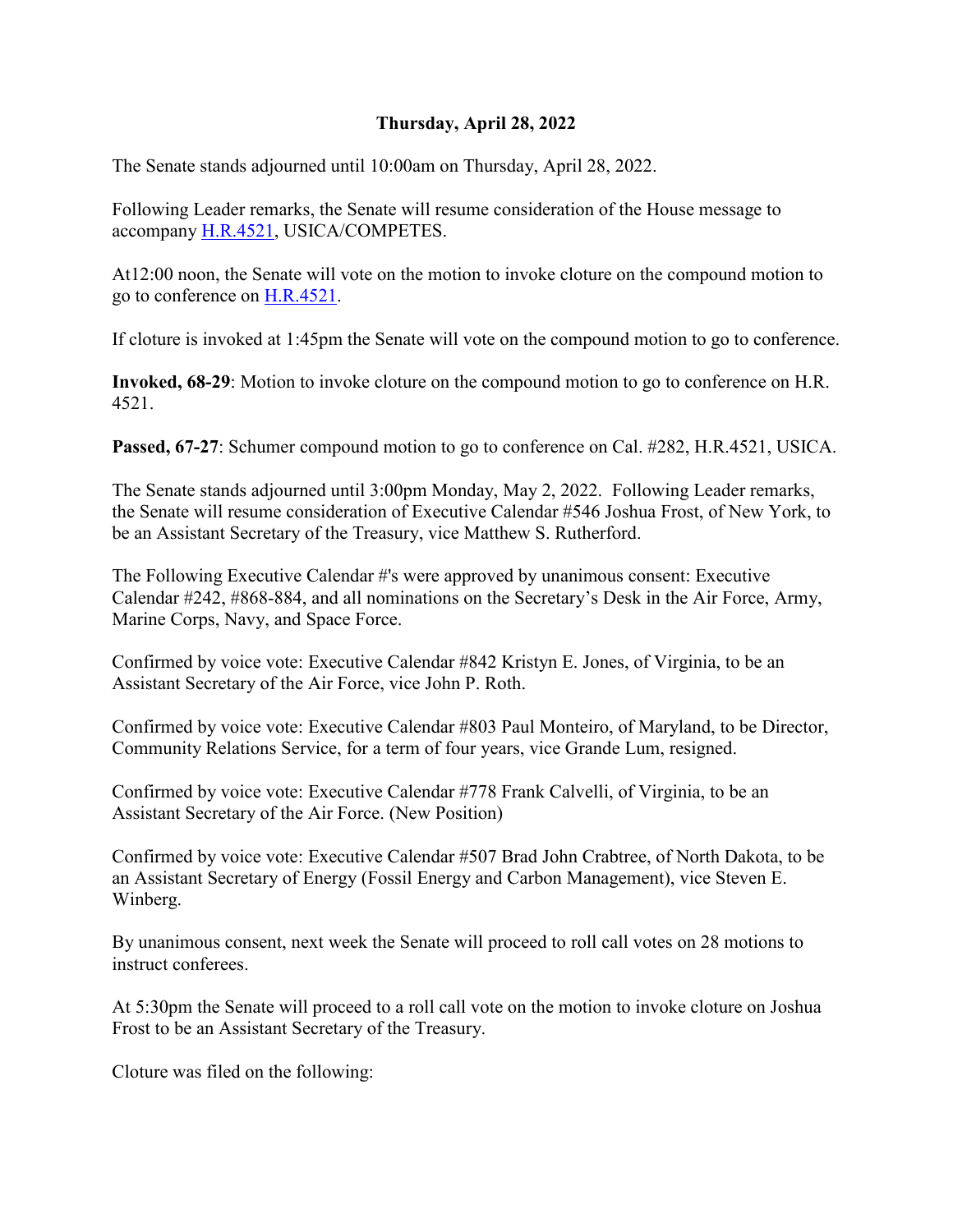### **Thursday, April 28, 2022**

The Senate stands adjourned until 10:00am on Thursday, April 28, 2022.

Following Leader remarks, the Senate will resume consideration of the House message to accompany [H.R.4521,](http://www.congress.gov/bill/117th-congress/house-bill/4521) USICA/COMPETES.

At12:00 noon, the Senate will vote on the motion to invoke cloture on the compound motion to go to conference on [H.R.4521.](http://www.congress.gov/bill/117th-congress/house-bill/4521)

If cloture is invoked at 1:45pm the Senate will vote on the compound motion to go to conference.

**Invoked, 68-29**: Motion to invoke cloture on the compound motion to go to conference on H.R. 4521.

**Passed, 67-27**: Schumer compound motion to go to conference on Cal. #282, H.R.4521, USICA.

The Senate stands adjourned until 3:00pm Monday, May 2, 2022. Following Leader remarks, the Senate will resume consideration of Executive Calendar #546 Joshua Frost, of New York, to be an Assistant Secretary of the Treasury, vice Matthew S. Rutherford.

The Following Executive Calendar #'s were approved by unanimous consent: Executive Calendar #242, #868-884, and all nominations on the Secretary's Desk in the Air Force, Army, Marine Corps, Navy, and Space Force.

Confirmed by voice vote: Executive Calendar #842 Kristyn E. Jones, of Virginia, to be an Assistant Secretary of the Air Force, vice John P. Roth.

Confirmed by voice vote: Executive Calendar #803 Paul Monteiro, of Maryland, to be Director, Community Relations Service, for a term of four years, vice Grande Lum, resigned.

Confirmed by voice vote: Executive Calendar #778 Frank Calvelli, of Virginia, to be an Assistant Secretary of the Air Force. (New Position)

Confirmed by voice vote: Executive Calendar #507 Brad John Crabtree, of North Dakota, to be an Assistant Secretary of Energy (Fossil Energy and Carbon Management), vice Steven E. Winberg.

By unanimous consent, next week the Senate will proceed to roll call votes on 28 motions to instruct conferees.

At 5:30pm the Senate will proceed to a roll call vote on the motion to invoke cloture on Joshua Frost to be an Assistant Secretary of the Treasury.

Cloture was filed on the following: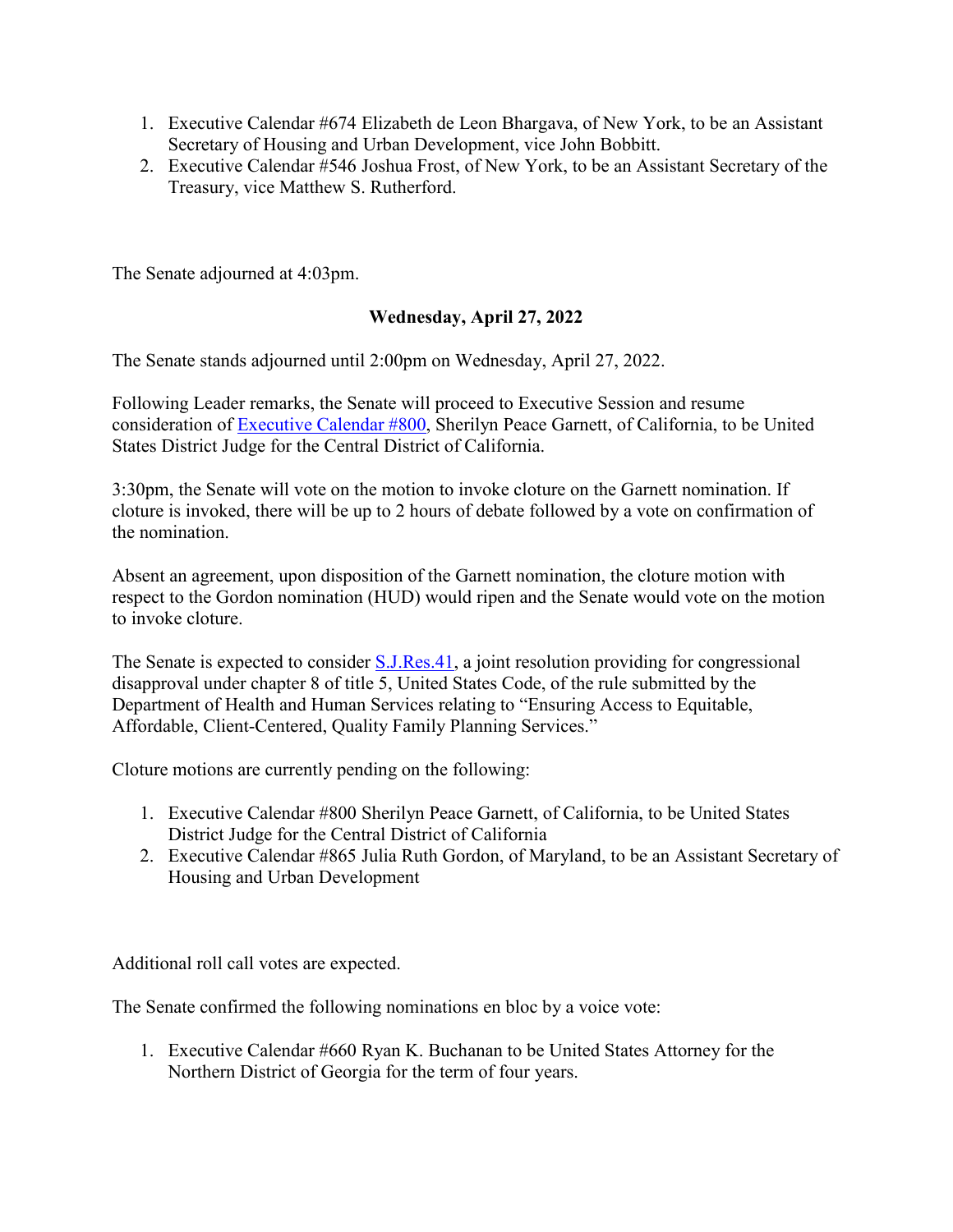- 1. Executive Calendar #674 Elizabeth de Leon Bhargava, of New York, to be an Assistant Secretary of Housing and Urban Development, vice John Bobbitt.
- 2. Executive Calendar #546 Joshua Frost, of New York, to be an Assistant Secretary of the Treasury, vice Matthew S. Rutherford.

The Senate adjourned at 4:03pm.

### **Wednesday, April 27, 2022**

The Senate stands adjourned until 2:00pm on Wednesday, April 27, 2022.

Following Leader remarks, the Senate will proceed to Executive Session and resume consideration of [Executive Calendar #800,](https://www.congress.gov/search?searchResultViewType=compact&q=%7b%22source%22:%22nominations%22,%22search%22:%22calendar+800%22,%22congress%22:%22117%22%7d) Sherilyn Peace Garnett, of California, to be United States District Judge for the Central District of California.

3:30pm, the Senate will vote on the motion to invoke cloture on the Garnett nomination. If cloture is invoked, there will be up to 2 hours of debate followed by a vote on confirmation of the nomination.

Absent an agreement, upon disposition of the Garnett nomination, the cloture motion with respect to the Gordon nomination (HUD) would ripen and the Senate would vote on the motion to invoke cloture.

The Senate is expected to consider **S.J.Res.41**, a joint resolution providing for congressional disapproval under chapter 8 of title 5, United States Code, of the rule submitted by the Department of Health and Human Services relating to "Ensuring Access to Equitable, Affordable, Client-Centered, Quality Family Planning Services."

Cloture motions are currently pending on the following:

- 1. Executive Calendar #800 Sherilyn Peace Garnett, of California, to be United States District Judge for the Central District of California
- 2. Executive Calendar #865 Julia Ruth Gordon, of Maryland, to be an Assistant Secretary of Housing and Urban Development

Additional roll call votes are expected.

The Senate confirmed the following nominations en bloc by a voice vote:

1. Executive Calendar #660 Ryan K. Buchanan to be United States Attorney for the Northern District of Georgia for the term of four years.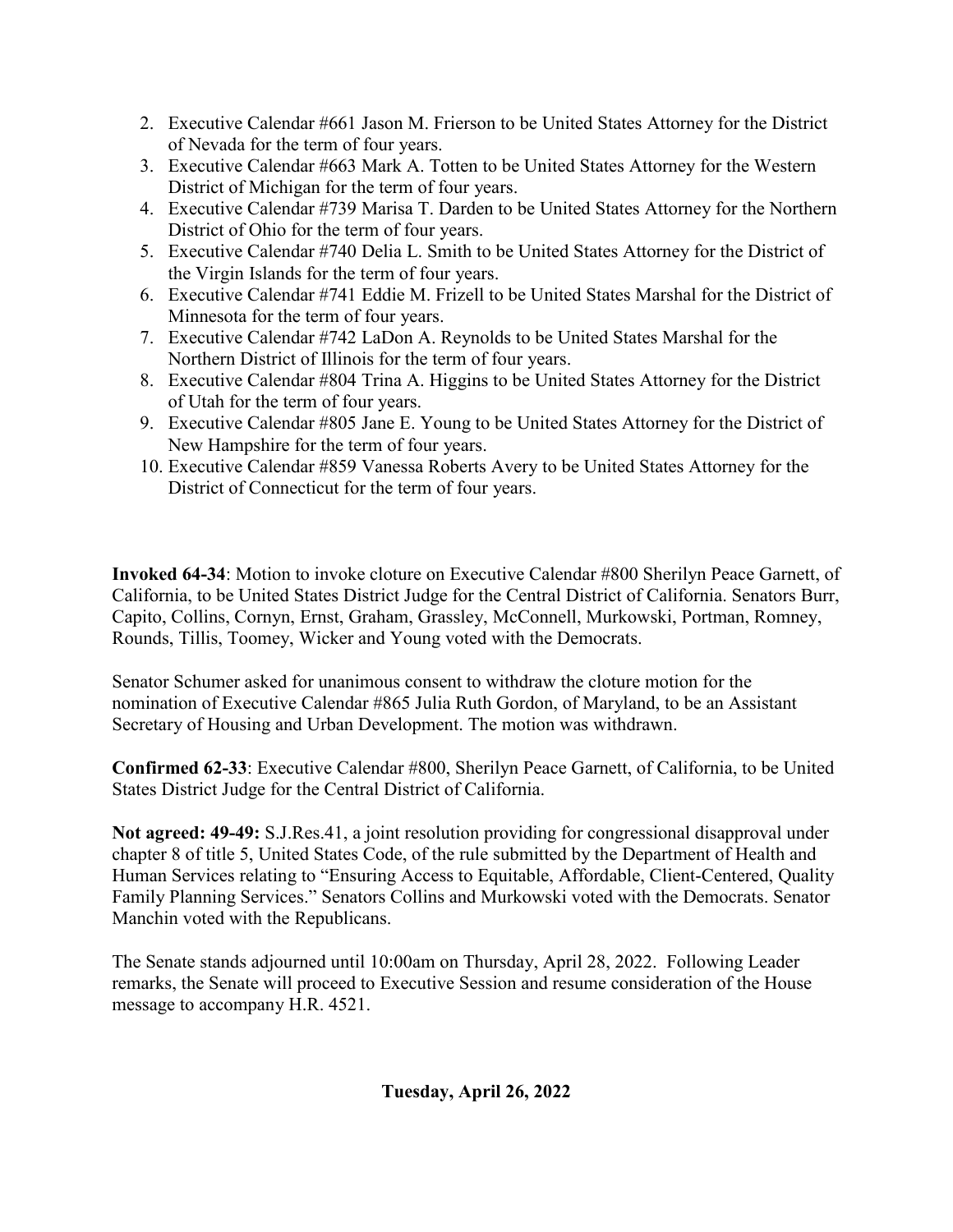- 2. Executive Calendar #661 Jason M. Frierson to be United States Attorney for the District of Nevada for the term of four years.
- 3. Executive Calendar #663 Mark A. Totten to be United States Attorney for the Western District of Michigan for the term of four years.
- 4. Executive Calendar #739 Marisa T. Darden to be United States Attorney for the Northern District of Ohio for the term of four years.
- 5. Executive Calendar #740 Delia L. Smith to be United States Attorney for the District of the Virgin Islands for the term of four years.
- 6. Executive Calendar #741 Eddie M. Frizell to be United States Marshal for the District of Minnesota for the term of four years.
- 7. Executive Calendar #742 LaDon A. Reynolds to be United States Marshal for the Northern District of Illinois for the term of four years.
- 8. Executive Calendar #804 Trina A. Higgins to be United States Attorney for the District of Utah for the term of four years.
- 9. Executive Calendar #805 Jane E. Young to be United States Attorney for the District of New Hampshire for the term of four years.
- 10. Executive Calendar #859 Vanessa Roberts Avery to be United States Attorney for the District of Connecticut for the term of four years.

**Invoked 64-34**: Motion to invoke cloture on Executive Calendar #800 Sherilyn Peace Garnett, of California, to be United States District Judge for the Central District of California. Senators Burr, Capito, Collins, Cornyn, Ernst, Graham, Grassley, McConnell, Murkowski, Portman, Romney, Rounds, Tillis, Toomey, Wicker and Young voted with the Democrats.

Senator Schumer asked for unanimous consent to withdraw the cloture motion for the nomination of Executive Calendar #865 Julia Ruth Gordon, of Maryland, to be an Assistant Secretary of Housing and Urban Development. The motion was withdrawn.

**Confirmed 62-33**: Executive Calendar #800, Sherilyn Peace Garnett, of California, to be United States District Judge for the Central District of California.

**Not agreed: 49-49:** S.J.Res.41, a joint resolution providing for congressional disapproval under chapter 8 of title 5, United States Code, of the rule submitted by the Department of Health and Human Services relating to "Ensuring Access to Equitable, Affordable, Client-Centered, Quality Family Planning Services." Senators Collins and Murkowski voted with the Democrats. Senator Manchin voted with the Republicans.

The Senate stands adjourned until 10:00am on Thursday, April 28, 2022. Following Leader remarks, the Senate will proceed to Executive Session and resume consideration of the House message to accompany H.R. 4521.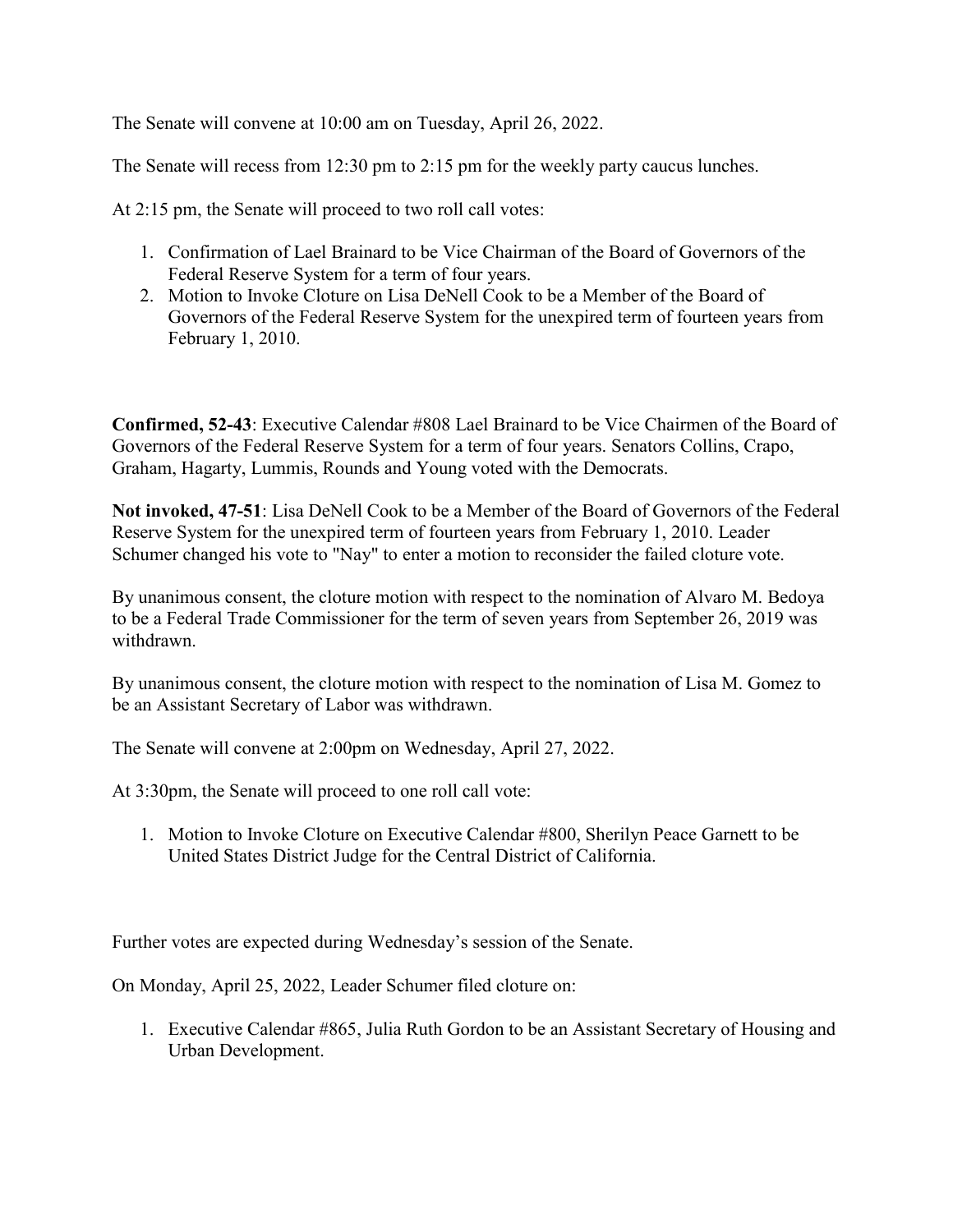The Senate will convene at 10:00 am on Tuesday, April 26, 2022.

The Senate will recess from 12:30 pm to 2:15 pm for the weekly party caucus lunches.

At 2:15 pm, the Senate will proceed to two roll call votes:

- 1. Confirmation of Lael Brainard to be Vice Chairman of the Board of Governors of the Federal Reserve System for a term of four years.
- 2. Motion to Invoke Cloture on Lisa DeNell Cook to be a Member of the Board of Governors of the Federal Reserve System for the unexpired term of fourteen years from February 1, 2010.

**Confirmed, 52-43**: Executive Calendar #808 Lael Brainard to be Vice Chairmen of the Board of Governors of the Federal Reserve System for a term of four years. Senators Collins, Crapo, Graham, Hagarty, Lummis, Rounds and Young voted with the Democrats.

**Not invoked, 47-51**: Lisa DeNell Cook to be a Member of the Board of Governors of the Federal Reserve System for the unexpired term of fourteen years from February 1, 2010. Leader Schumer changed his vote to "Nay" to enter a motion to reconsider the failed cloture vote.

By unanimous consent, the cloture motion with respect to the nomination of Alvaro M. Bedoya to be a Federal Trade Commissioner for the term of seven years from September 26, 2019 was withdrawn.

By unanimous consent, the cloture motion with respect to the nomination of Lisa M. Gomez to be an Assistant Secretary of Labor was withdrawn.

The Senate will convene at 2:00pm on Wednesday, April 27, 2022.

At 3:30pm, the Senate will proceed to one roll call vote:

1. Motion to Invoke Cloture on Executive Calendar #800, Sherilyn Peace Garnett to be United States District Judge for the Central District of California.

Further votes are expected during Wednesday's session of the Senate.

On Monday, April 25, 2022, Leader Schumer filed cloture on:

1. Executive Calendar #865, Julia Ruth Gordon to be an Assistant Secretary of Housing and Urban Development.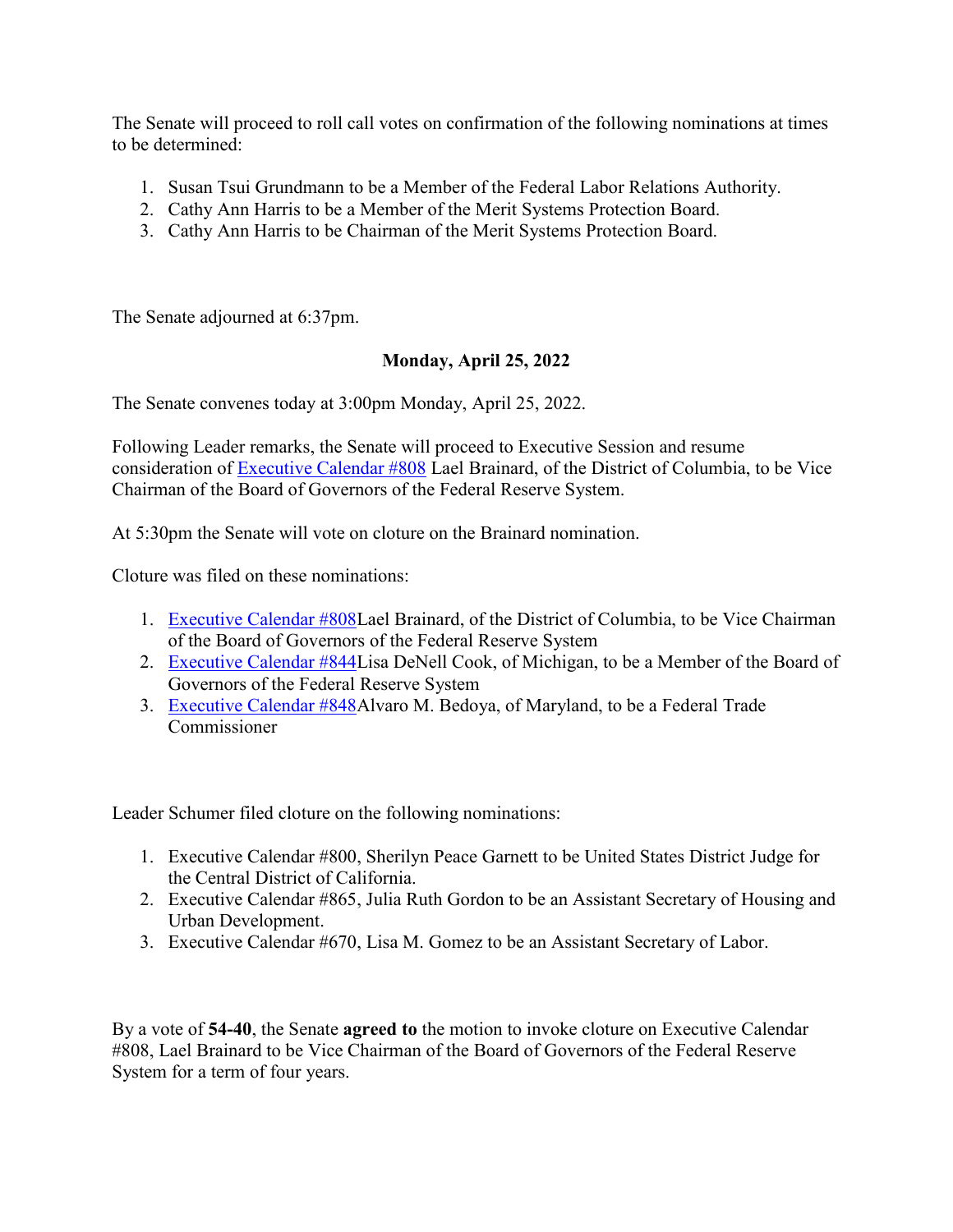The Senate will proceed to roll call votes on confirmation of the following nominations at times to be determined:

- 1. Susan Tsui Grundmann to be a Member of the Federal Labor Relations Authority.
- 2. Cathy Ann Harris to be a Member of the Merit Systems Protection Board.
- 3. Cathy Ann Harris to be Chairman of the Merit Systems Protection Board.

The Senate adjourned at 6:37pm.

#### **Monday, April 25, 2022**

The Senate convenes today at 3:00pm Monday, April 25, 2022.

Following Leader remarks, the Senate will proceed to Executive Session and resume consideration of [Executive Calendar #808](https://www.congress.gov/search?searchResultViewType=compact&q=%7b%22source%22:%22nominations%22,%22search%22:%22calendar+808%22,%22congress%22:%22117%22%7d) Lael Brainard, of the District of Columbia, to be Vice Chairman of the Board of Governors of the Federal Reserve System.

At 5:30pm the Senate will vote on cloture on the Brainard nomination.

Cloture was filed on these nominations:

- 1. [Executive Calendar #808L](https://www.congress.gov/search?searchResultViewType=compact&q=%7b%22source%22:%22nominations%22,%22search%22:%22calendar+808%22,%22congress%22:%22117%22%7d)ael Brainard, of the District of Columbia, to be Vice Chairman of the Board of Governors of the Federal Reserve System
- 2. [Executive Calendar #844L](https://www.congress.gov/search?searchResultViewType=compact&q=%7b%22source%22:%22nominations%22,%22search%22:%22calendar+844%22,%22congress%22:%22117%22%7d)isa DeNell Cook, of Michigan, to be a Member of the Board of Governors of the Federal Reserve System
- 3. [Executive Calendar #848A](https://www.congress.gov/search?searchResultViewType=compact&q=%7b%22source%22:%22nominations%22,%22search%22:%22calendar+848%22,%22congress%22:%22117%22%7d)lvaro M. Bedoya, of Maryland, to be a Federal Trade Commissioner

Leader Schumer filed cloture on the following nominations:

- 1. Executive Calendar #800, Sherilyn Peace Garnett to be United States District Judge for the Central District of California.
- 2. Executive Calendar #865, Julia Ruth Gordon to be an Assistant Secretary of Housing and Urban Development.
- 3. Executive Calendar #670, Lisa M. Gomez to be an Assistant Secretary of Labor.

By a vote of **54-40**, the Senate **agreed to** the motion to invoke cloture on Executive Calendar #808, Lael Brainard to be Vice Chairman of the Board of Governors of the Federal Reserve System for a term of four years.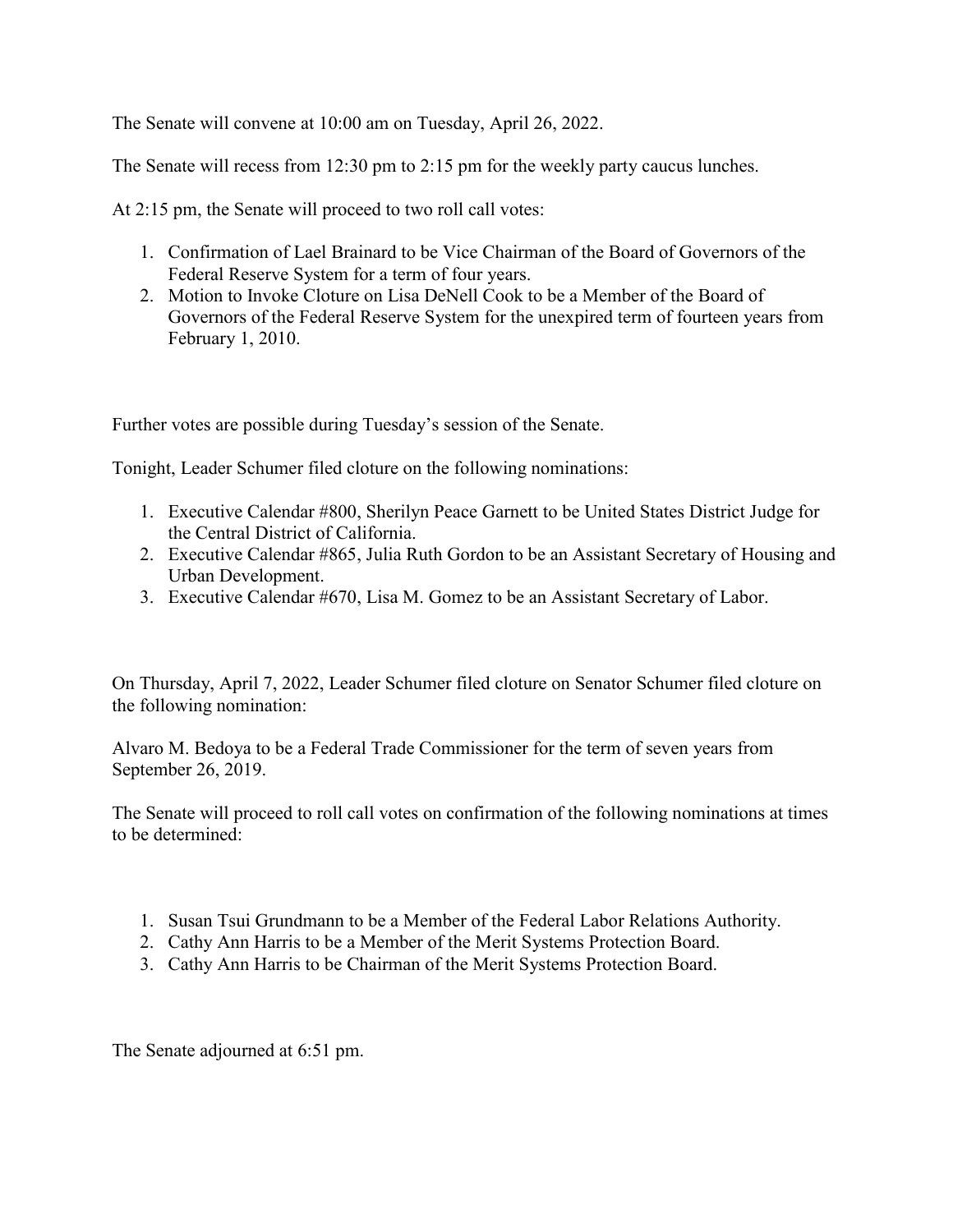The Senate will convene at 10:00 am on Tuesday, April 26, 2022.

The Senate will recess from 12:30 pm to 2:15 pm for the weekly party caucus lunches.

At 2:15 pm, the Senate will proceed to two roll call votes:

- 1. Confirmation of Lael Brainard to be Vice Chairman of the Board of Governors of the Federal Reserve System for a term of four years.
- 2. Motion to Invoke Cloture on Lisa DeNell Cook to be a Member of the Board of Governors of the Federal Reserve System for the unexpired term of fourteen years from February 1, 2010.

Further votes are possible during Tuesday's session of the Senate.

Tonight, Leader Schumer filed cloture on the following nominations:

- 1. Executive Calendar #800, Sherilyn Peace Garnett to be United States District Judge for the Central District of California.
- 2. Executive Calendar #865, Julia Ruth Gordon to be an Assistant Secretary of Housing and Urban Development.
- 3. Executive Calendar #670, Lisa M. Gomez to be an Assistant Secretary of Labor.

On Thursday, April 7, 2022, Leader Schumer filed cloture on Senator Schumer filed cloture on the following nomination:

Alvaro M. Bedoya to be a Federal Trade Commissioner for the term of seven years from September 26, 2019.

The Senate will proceed to roll call votes on confirmation of the following nominations at times to be determined:

- 1. Susan Tsui Grundmann to be a Member of the Federal Labor Relations Authority.
- 2. Cathy Ann Harris to be a Member of the Merit Systems Protection Board.
- 3. Cathy Ann Harris to be Chairman of the Merit Systems Protection Board.

The Senate adjourned at 6:51 pm.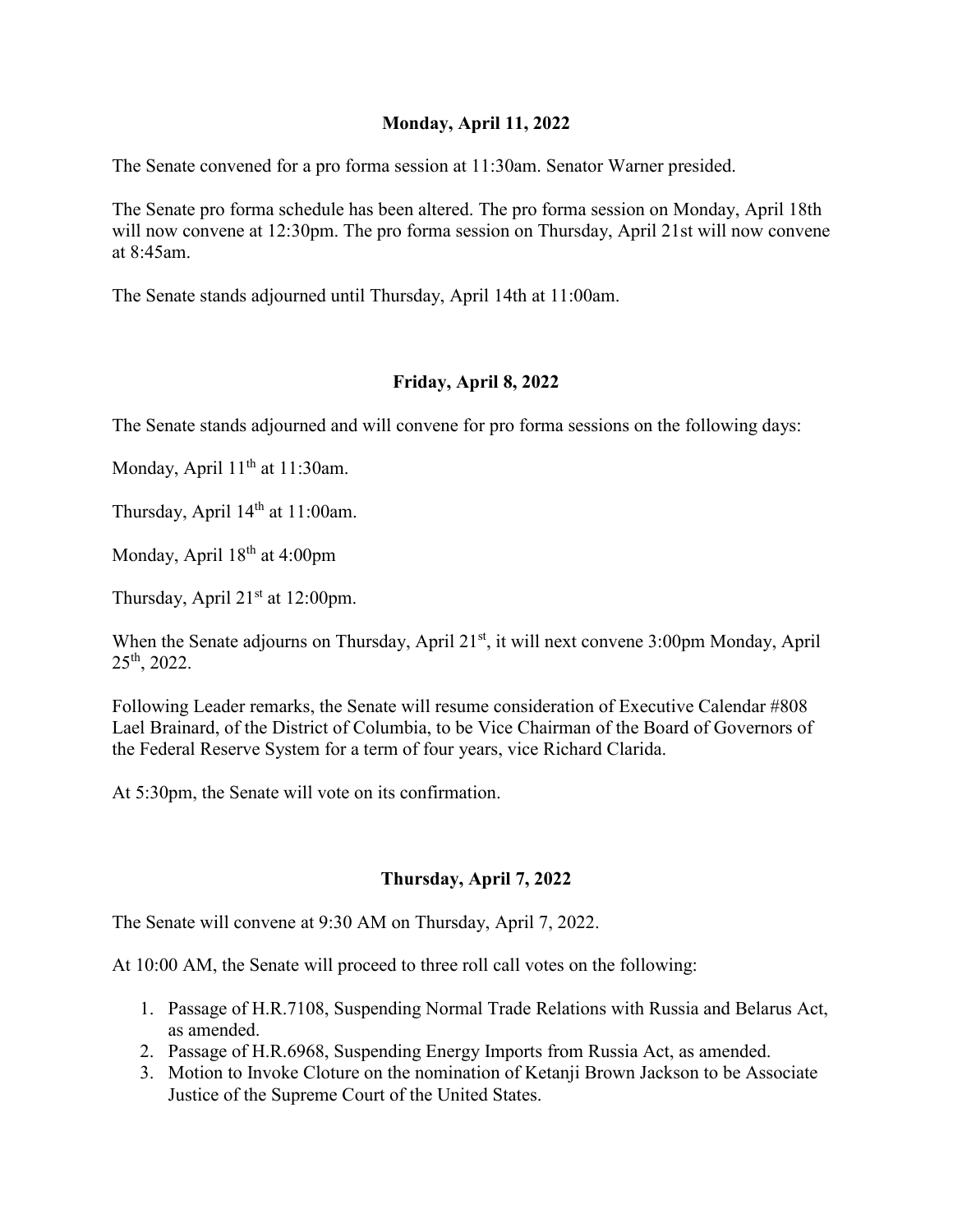### **Monday, April 11, 2022**

The Senate convened for a pro forma session at 11:30am. Senator Warner presided.

The Senate pro forma schedule has been altered. The pro forma session on Monday, April 18th will now convene at 12:30pm. The pro forma session on Thursday, April 21st will now convene at 8:45am.

The Senate stands adjourned until Thursday, April 14th at 11:00am.

# **Friday, April 8, 2022**

The Senate stands adjourned and will convene for pro forma sessions on the following days:

Monday, April 11<sup>th</sup> at 11:30am.

Thursday, April 14<sup>th</sup> at 11:00am.

Monday, April 18<sup>th</sup> at 4:00pm

Thursday, April  $21<sup>st</sup>$  at 12:00pm.

When the Senate adjourns on Thursday, April 21<sup>st</sup>, it will next convene 3:00pm Monday, April 25th, 2022.

Following Leader remarks, the Senate will resume consideration of Executive Calendar #808 Lael Brainard, of the District of Columbia, to be Vice Chairman of the Board of Governors of the Federal Reserve System for a term of four years, vice Richard Clarida.

At 5:30pm, the Senate will vote on its confirmation.

# **Thursday, April 7, 2022**

The Senate will convene at 9:30 AM on Thursday, April 7, 2022.

At 10:00 AM, the Senate will proceed to three roll call votes on the following:

- 1. Passage of H.R.7108, Suspending Normal Trade Relations with Russia and Belarus Act, as amended.
- 2. Passage of H.R.6968, Suspending Energy Imports from Russia Act, as amended.
- 3. Motion to Invoke Cloture on the nomination of Ketanji Brown Jackson to be Associate Justice of the Supreme Court of the United States.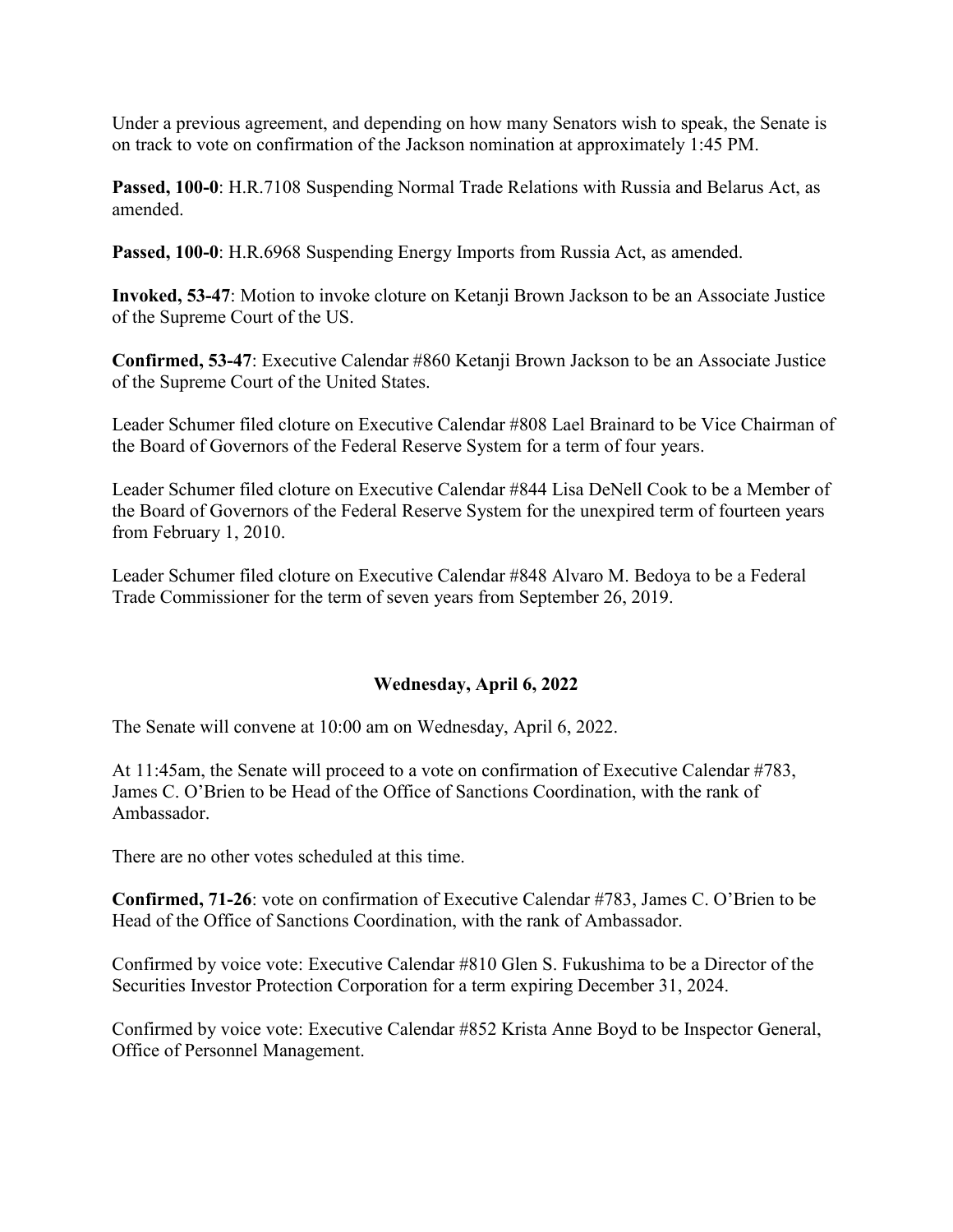Under a previous agreement, and depending on how many Senators wish to speak, the Senate is on track to vote on confirmation of the Jackson nomination at approximately 1:45 PM.

**Passed, 100-0**: H.R.7108 Suspending Normal Trade Relations with Russia and Belarus Act, as amended.

**Passed, 100-0**: H.R.6968 Suspending Energy Imports from Russia Act, as amended.

**Invoked, 53-47**: Motion to invoke cloture on Ketanji Brown Jackson to be an Associate Justice of the Supreme Court of the US.

**Confirmed, 53-47**: Executive Calendar #860 Ketanji Brown Jackson to be an Associate Justice of the Supreme Court of the United States.

Leader Schumer filed cloture on Executive Calendar #808 Lael Brainard to be Vice Chairman of the Board of Governors of the Federal Reserve System for a term of four years.

Leader Schumer filed cloture on Executive Calendar #844 Lisa DeNell Cook to be a Member of the Board of Governors of the Federal Reserve System for the unexpired term of fourteen years from February 1, 2010.

Leader Schumer filed cloture on Executive Calendar #848 Alvaro M. Bedoya to be a Federal Trade Commissioner for the term of seven years from September 26, 2019.

# **Wednesday, April 6, 2022**

The Senate will convene at 10:00 am on Wednesday, April 6, 2022.

At 11:45am, the Senate will proceed to a vote on confirmation of Executive Calendar #783, James C. O'Brien to be Head of the Office of Sanctions Coordination, with the rank of Ambassador.

There are no other votes scheduled at this time.

**Confirmed, 71-26**: vote on confirmation of Executive Calendar #783, James C. O'Brien to be Head of the Office of Sanctions Coordination, with the rank of Ambassador.

Confirmed by voice vote: Executive Calendar #810 Glen S. Fukushima to be a Director of the Securities Investor Protection Corporation for a term expiring December 31, 2024.

Confirmed by voice vote: Executive Calendar #852 Krista Anne Boyd to be Inspector General, Office of Personnel Management.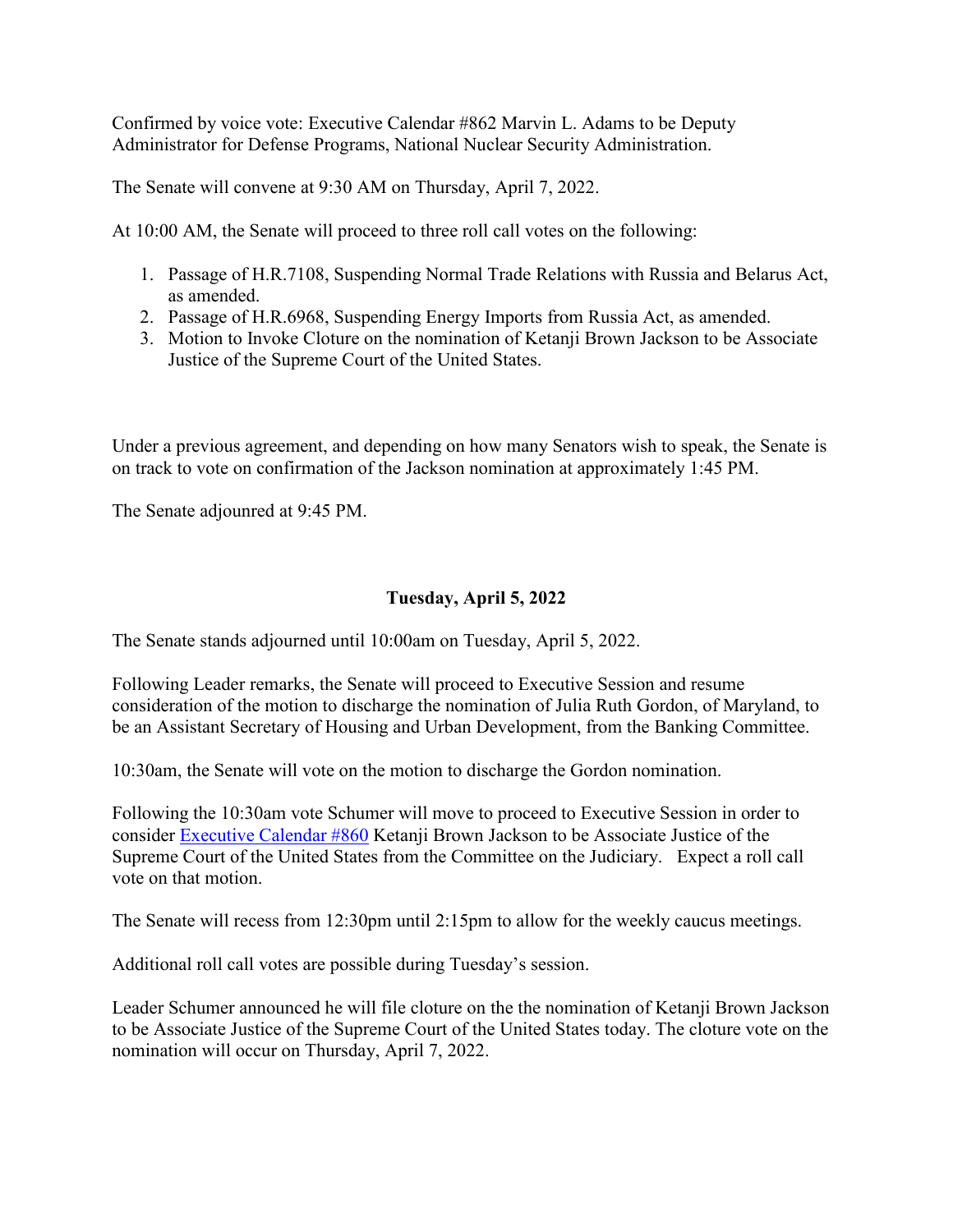Confirmed by voice vote: Executive Calendar #862 Marvin L. Adams to be Deputy Administrator for Defense Programs, National Nuclear Security Administration.

The Senate will convene at 9:30 AM on Thursday, April 7, 2022.

At 10:00 AM, the Senate will proceed to three roll call votes on the following:

- 1. Passage of H.R.7108, Suspending Normal Trade Relations with Russia and Belarus Act, as amended.
- 2. Passage of H.R.6968, Suspending Energy Imports from Russia Act, as amended.
- 3. Motion to Invoke Cloture on the nomination of Ketanji Brown Jackson to be Associate Justice of the Supreme Court of the United States.

Under a previous agreement, and depending on how many Senators wish to speak, the Senate is on track to vote on confirmation of the Jackson nomination at approximately 1:45 PM.

The Senate adjounred at 9:45 PM.

# **Tuesday, April 5, 2022**

The Senate stands adjourned until 10:00am on Tuesday, April 5, 2022.

Following Leader remarks, the Senate will proceed to Executive Session and resume consideration of the motion to discharge the nomination of Julia Ruth Gordon, of Maryland, to be an Assistant Secretary of Housing and Urban Development, from the Banking Committee.

10:30am, the Senate will vote on the motion to discharge the Gordon nomination.

Following the 10:30am vote Schumer will move to proceed to Executive Session in order to consider [Executive Calendar #860](https://www.congress.gov/search?searchResultViewType=compact&q=%7b%22source%22:%22nominations%22,%22search%22:%22calendar+860%22,%22congress%22:%22117%22%7d) Ketanji Brown Jackson to be Associate Justice of the Supreme Court of the United States from the Committee on the Judiciary. Expect a roll call vote on that motion.

The Senate will recess from 12:30pm until 2:15pm to allow for the weekly caucus meetings.

Additional roll call votes are possible during Tuesday's session.

Leader Schumer announced he will file cloture on the the nomination of Ketanji Brown Jackson to be Associate Justice of the Supreme Court of the United States today. The cloture vote on the nomination will occur on Thursday, April 7, 2022.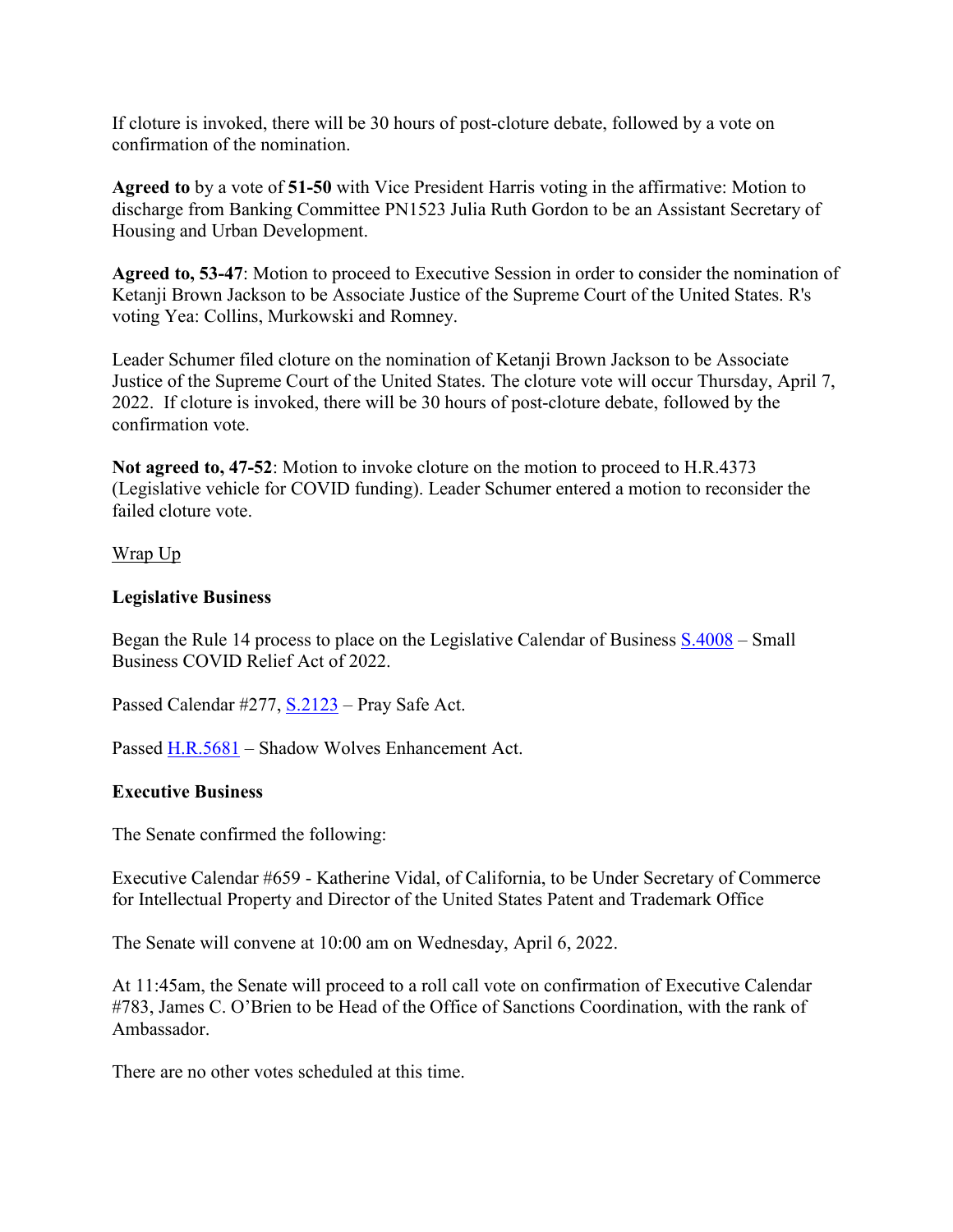If cloture is invoked, there will be 30 hours of post-cloture debate, followed by a vote on confirmation of the nomination.

**Agreed to** by a vote of **51-50** with Vice President Harris voting in the affirmative: Motion to discharge from Banking Committee PN1523 Julia Ruth Gordon to be an Assistant Secretary of Housing and Urban Development.

**Agreed to, 53-47**: Motion to proceed to Executive Session in order to consider the nomination of Ketanji Brown Jackson to be Associate Justice of the Supreme Court of the United States. R's voting Yea: Collins, Murkowski and Romney.

Leader Schumer filed cloture on the nomination of Ketanji Brown Jackson to be Associate Justice of the Supreme Court of the United States. The cloture vote will occur Thursday, April 7, 2022. If cloture is invoked, there will be 30 hours of post-cloture debate, followed by the confirmation vote.

**Not agreed to, 47-52**: Motion to invoke cloture on the motion to proceed to H.R.4373 (Legislative vehicle for COVID funding). Leader Schumer entered a motion to reconsider the failed cloture vote.

#### Wrap Up

#### **Legislative Business**

Began the Rule 14 process to place on the Legislative Calendar of Business  $S.4008 - S$ mall Business COVID Relief Act of 2022.

Passed Calendar #277, [S.2123](http://www.congress.gov/bill/117th-congress/senate-bill/2123) – Pray Safe Act.

Passed [H.R.5681](http://www.congress.gov/bill/117th-congress/house-bill/5681) – Shadow Wolves Enhancement Act.

# **Executive Business**

The Senate confirmed the following:

Executive Calendar #659 - Katherine Vidal, of California, to be Under Secretary of Commerce for Intellectual Property and Director of the United States Patent and Trademark Office

The Senate will convene at 10:00 am on Wednesday, April 6, 2022.

At 11:45am, the Senate will proceed to a roll call vote on confirmation of Executive Calendar #783, James C. O'Brien to be Head of the Office of Sanctions Coordination, with the rank of Ambassador.

There are no other votes scheduled at this time.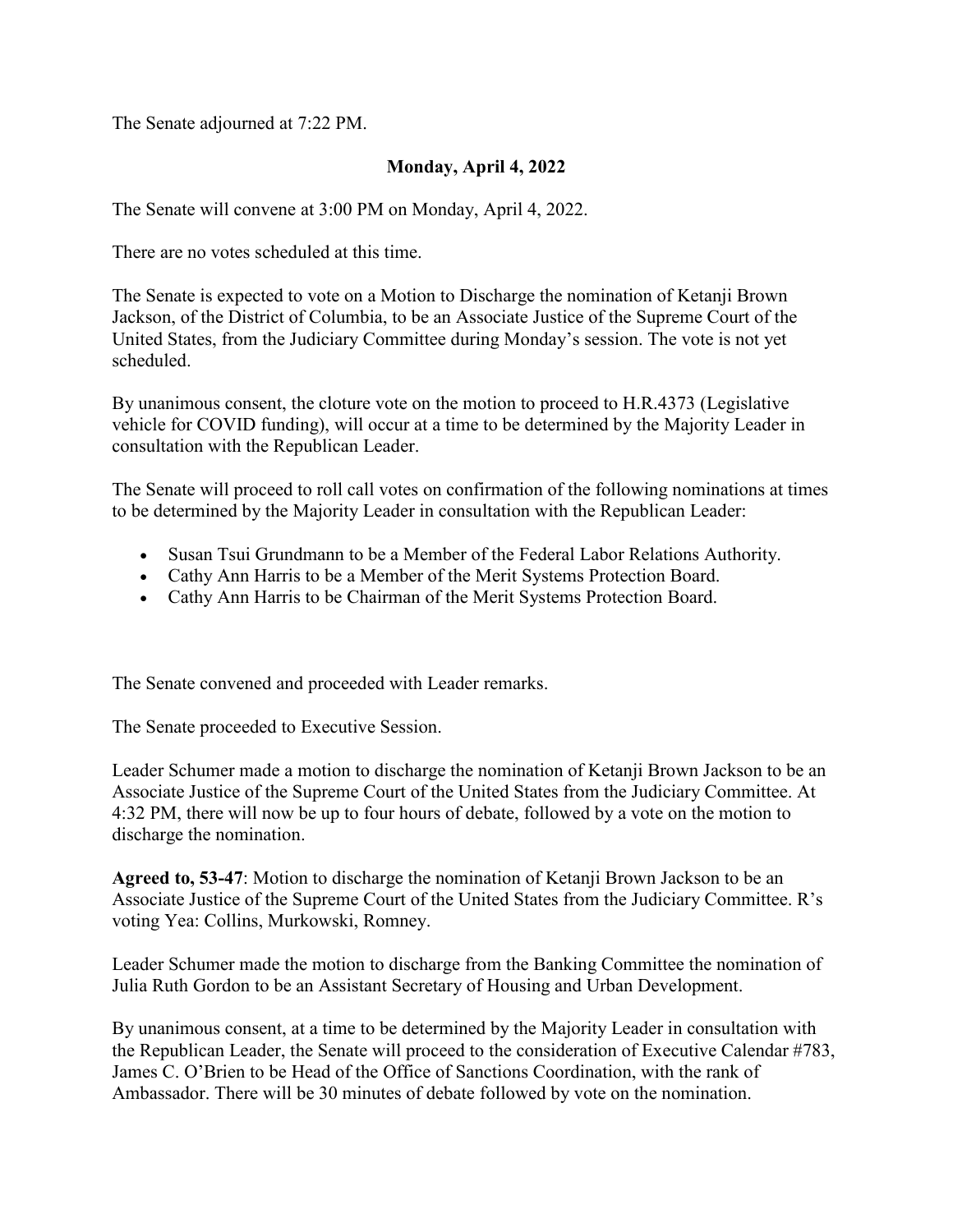The Senate adjourned at 7:22 PM.

# **Monday, April 4, 2022**

The Senate will convene at 3:00 PM on Monday, April 4, 2022.

There are no votes scheduled at this time.

The Senate is expected to vote on a Motion to Discharge the nomination of Ketanji Brown Jackson, of the District of Columbia, to be an Associate Justice of the Supreme Court of the United States, from the Judiciary Committee during Monday's session. The vote is not yet scheduled.

By unanimous consent, the cloture vote on the motion to proceed to H.R.4373 (Legislative vehicle for COVID funding), will occur at a time to be determined by the Majority Leader in consultation with the Republican Leader.

The Senate will proceed to roll call votes on confirmation of the following nominations at times to be determined by the Majority Leader in consultation with the Republican Leader:

- Susan Tsui Grundmann to be a Member of the Federal Labor Relations Authority.
- Cathy Ann Harris to be a Member of the Merit Systems Protection Board.
- Cathy Ann Harris to be Chairman of the Merit Systems Protection Board.

The Senate convened and proceeded with Leader remarks.

The Senate proceeded to Executive Session.

Leader Schumer made a motion to discharge the nomination of Ketanji Brown Jackson to be an Associate Justice of the Supreme Court of the United States from the Judiciary Committee. At 4:32 PM, there will now be up to four hours of debate, followed by a vote on the motion to discharge the nomination.

**Agreed to, 53-47**: Motion to discharge the nomination of Ketanji Brown Jackson to be an Associate Justice of the Supreme Court of the United States from the Judiciary Committee. R's voting Yea: Collins, Murkowski, Romney.

Leader Schumer made the motion to discharge from the Banking Committee the nomination of Julia Ruth Gordon to be an Assistant Secretary of Housing and Urban Development.

By unanimous consent, at a time to be determined by the Majority Leader in consultation with the Republican Leader, the Senate will proceed to the consideration of Executive Calendar #783, James C. O'Brien to be Head of the Office of Sanctions Coordination, with the rank of Ambassador. There will be 30 minutes of debate followed by vote on the nomination.